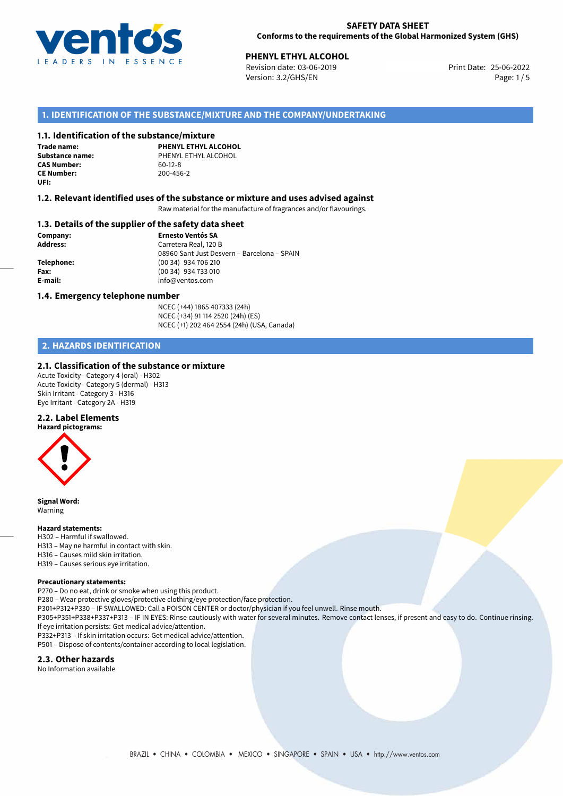

# **PHENYL ETHYL ALCOHOL**<br> **25-06-2022 Print Date: 25-06-2022**<br>
Print Date: 25-06-2022

Revision date: 03-06-2019 Version: 3.2/GHS/EN Page: 1/5

#### **1. IDENTIFICATION OF THE SUBSTANCE/MIXTURE AND THE COMPANY/UNDERTAKING**

#### **1.1. Identification of the substance/mixture**

**Trade name: CAS Number: CE Number:** 200-456-2 **UFI:**

**PHENYL ETHYL ALCOHOL Substance name:** PHENYL ETHYL ALCOHOL<br> **CAS Number:** 60-12-8

#### **1.2. Relevant identified uses of the substance or mixture and uses advised against**

Raw material for the manufacture of fragrances and/or flavourings.

#### **1.3. Details of the supplier of the safety data sheet**

**Company: Ernesto Ventós SA Address:** Carretera Real, 120 B 08960 Sant Just Desvern – Barcelona – SPAIN **Telephone:** (00 34) 934 706 210 **Fax:** (00 34) 934 733 010 **E-mail:** info@ventos.com

#### **1.4. Emergency telephone number**

NCEC (+44) 1865 407333 (24h) NCEC (+34) 91 114 2520 (24h) (ES) NCEC (+1) 202 464 2554 (24h) (USA, Canada)

# **2. HAZARDS IDENTIFICATION**

#### **2.1. Classification of the substance or mixture**

Acute Toxicity - Category 4 (oral) - H302 Acute Toxicity - Category 5 (dermal) - H313 Skin Irritant - Category 3 - H316 Eye Irritant - Category 2A - H319

#### **2.2. Label Elements**



**Signal Word:** Warning

#### **Hazard statements:**

- H302 Harmful if swallowed. H313 – May ne harmful in contact with skin.
- H316 Causes mild skin irritation.
- H319 Causes serious eye irritation.

#### **Precautionary statements:**

P270 – Do no eat, drink or smoke when using this product.

P280 – Wear protective gloves/protective clothing/eye protection/face protection.

P301+P312+P330 – IF SWALLOWED: Call a POISON CENTER or doctor/physician if you feel unwell. Rinse mouth.

P305+P351+P338+P337+P313 – IF IN EYES: Rinse cautiously with water for several minutes. Remove contact lenses, if present and easy to do. Continue rinsing. If eye irritation persists: Get medical advice/attention.

P332+P313 – If skin irritation occurs: Get medical advice/attention.

P501 – Dispose of contents/container according to local legislation.

#### **2.3. Other hazards**

No Information available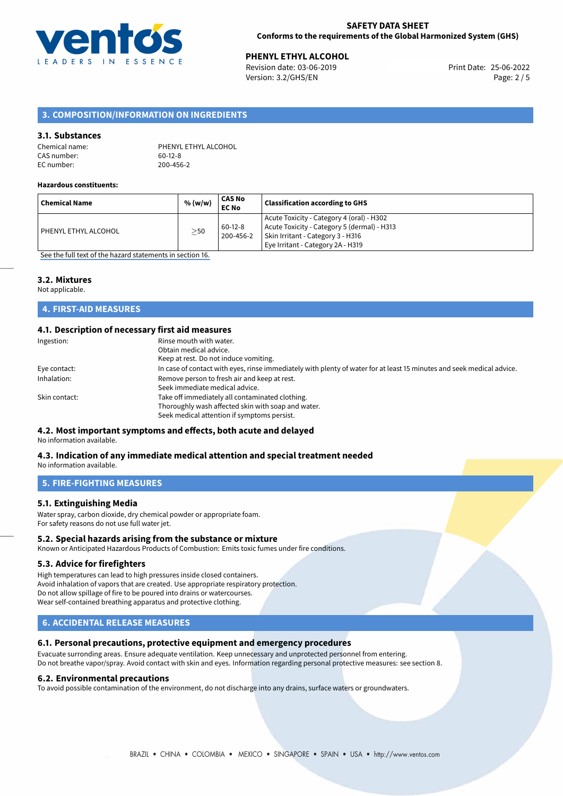

**PHENYL ETHYL ALCOHOL**<br>
Revision date: 03-06-2019 **Print Date: 25-06-2022** Version: 3.2/GHS/EN Page: 2 / 5

### **3. COMPOSITION/INFORMATION ON INGREDIENTS**

#### **3.1. Substances**

| Chemical name: | PHENYL ETHYL ALCOHOL |
|----------------|----------------------|
| CAS number:    | 60-12-8              |
| EC number:     | 200-456-2            |

#### **Hazardous constituents:**

| ' Chemical Name        | % (w/w)   | CAS No<br><b>EC No</b> | <b>Classification according to GHS</b>                                                                                                                             |
|------------------------|-----------|------------------------|--------------------------------------------------------------------------------------------------------------------------------------------------------------------|
| l PHENYL ETHYL ALCOHOL | $\geq$ 50 | $60-12-8$<br>200-456-2 | Acute Toxicity - Category 4 (oral) - H302<br>Acute Toxicity - Category 5 (dermal) - H313<br>Skin Irritant - Category 3 - H316<br>Eye Irritant - Category 2A - H319 |

[See the full text of the hazard statements in section 16.](#page-4-0)

#### **3.2. Mixtures**

Not applicable.

## **4. FIRST-AID MEASURES**

## **4.1. Description of necessary first aid measures**

| Rinse mouth with water.                                                                                               |
|-----------------------------------------------------------------------------------------------------------------------|
| Obtain medical advice.                                                                                                |
| Keep at rest. Do not induce vomiting.                                                                                 |
| In case of contact with eyes, rinse immediately with plenty of water for at least 15 minutes and seek medical advice. |
| Remove person to fresh air and keep at rest.                                                                          |
| Seek immediate medical advice.                                                                                        |
| Take off immediately all contaminated clothing.                                                                       |
| Thoroughly wash affected skin with soap and water.                                                                    |
| Seek medical attention if symptoms persist.                                                                           |
|                                                                                                                       |

#### **4.2. Most important symptoms and effects, both acute and delayed**

No information available.

#### **4.3. Indication of any immediate medical attention and special treatment needed** No information available.

**5. FIRE-FIGHTING MEASURES**

#### **5.1. Extinguishing Media**

Water spray, carbon dioxide, dry chemical powder or appropriate foam. For safety reasons do not use full water jet.

#### **5.2. Special hazards arising from the substance or mixture**

Known or Anticipated Hazardous Products of Combustion: Emits toxic fumes under fire conditions.

#### **5.3. Advice for firefighters**

High temperatures can lead to high pressures inside closed containers. Avoid inhalation of vapors that are created. Use appropriate respiratory protection. Do not allow spillage of fire to be poured into drains or watercourses. Wear self-contained breathing apparatus and protective clothing.

#### **6. ACCIDENTAL RELEASE MEASURES**

#### **6.1. Personal precautions, protective equipment and emergency procedures**

Evacuate surronding areas. Ensure adequate ventilation. Keep unnecessary and unprotected personnel from entering. Do not breathe vapor/spray. Avoid contact with skin and eyes. Information regarding personal protective measures: see section 8.

#### **6.2. Environmental precautions**

To avoid possible contamination of the environment, do not discharge into any drains, surface waters or groundwaters.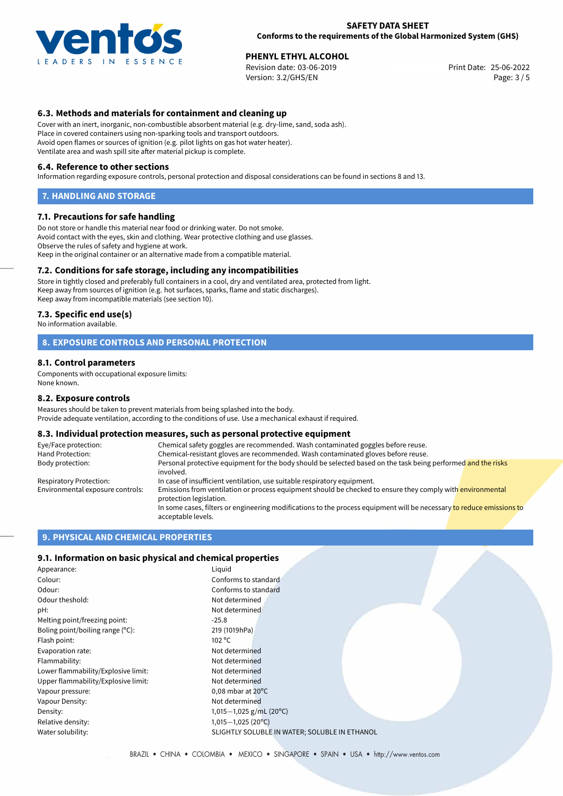

**PHENYL ETHYL ALCOHOL**<br>
Revision date: 03-06-2019 **Print Date: 25-06-2022** Version: 3.2/GHS/EN Page: 3 / 5

#### **6.3. Methods and materials for containment and cleaning up**

Cover with an inert, inorganic, non-combustible absorbent material (e.g. dry-lime, sand, soda ash). Place in covered containers using non-sparking tools and transport outdoors. Avoid open flames or sources of ignition (e.g. pilot lights on gas hot water heater). Ventilate area and wash spill site after material pickup is complete.

#### **6.4. Reference to other sections**

Information regarding exposure controls, personal protection and disposal considerations can be found in sections 8 and 13.

#### **7. HANDLING AND STORAGE**

#### **7.1. Precautions for safe handling**

Do not store or handle this material near food or drinking water. Do not smoke. Avoid contact with the eyes, skin and clothing. Wear protective clothing and use glasses. Observe the rules of safety and hygiene at work. Keep in the original container or an alternative made from a compatible material.

#### **7.2. Conditions for safe storage, including any incompatibilities**

Store in tightly closed and preferably full containers in a cool, dry and ventilated area, protected from light. Keep away from sources of ignition (e.g. hot surfaces, sparks, flame and static discharges). Keep away from incompatible materials (see section 10).

#### **7.3. Specific end use(s)**

No information available.

#### **8. EXPOSURE CONTROLS AND PERSONAL PROTECTION**

#### **8.1. Control parameters**

Components with occupational exposure limits: None known.

#### **8.2. Exposure controls**

Measures should be taken to prevent materials from being splashed into the body. Provide adequate ventilation, according to the conditions of use. Use a mechanical exhaust if required.

#### **8.3. Individual protection measures, such as personal protective equipment**

| Eye/Face protection:             | Chemical safety goggles are recommended. Wash contaminated goggles before reuse.                                                            |
|----------------------------------|---------------------------------------------------------------------------------------------------------------------------------------------|
| Hand Protection:                 | Chemical-resistant gloves are recommended. Wash contaminated gloves before reuse.                                                           |
| Body protection:                 | Personal protective equipment for the body should be selected based on the task being performed and the risks<br>involved.                  |
| Respiratory Protection:          | In case of insufficient ventilation, use suitable respiratory equipment.                                                                    |
| Environmental exposure controls: | Emissions from ventilation or process equipment should be checked to ensure they comply with environmental<br>protection legislation.       |
|                                  | In some cases, filters or engineering modifications to the process equipment will be necessary to reduce emissions to<br>acceptable levels. |

#### **9. PHYSICAL AND CHEMICAL PROPERTIES**

#### **9.1. Information on basic physical and chemical properties**

| Appearance:                         | Liquid                                       |
|-------------------------------------|----------------------------------------------|
| Colour:                             | Conforms to standard                         |
| Odour:                              | Conforms to standard                         |
| Odour theshold:                     | Not determined                               |
| pH:                                 | Not determined                               |
| Melting point/freezing point:       | $-25.8$                                      |
| Boling point/boiling range (°C):    | 219 (1019hPa)                                |
| Flash point:                        | $102^{\circ}$ C                              |
| Evaporation rate:                   | Not determined                               |
| Flammability:                       | Not determined                               |
| Lower flammability/Explosive limit: | Not determined                               |
| Upper flammability/Explosive limit: | Not determined                               |
| Vapour pressure:                    | $0.08$ mbar at $20^{\circ}$ C                |
| Vapour Density:                     | Not determined                               |
| Density:                            | 1,015 $-1$ ,025 g/mL (20°C)                  |
| Relative density:                   | $1,015-1,025(20°C)$                          |
| Water solubility:                   | SLIGHTLY SOLUBLE IN WATER: SOLUBLE IN ETHANO |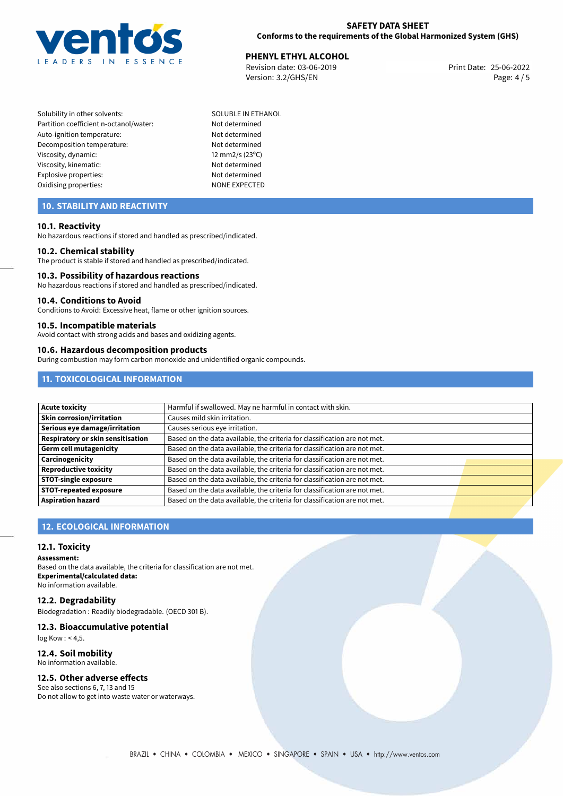

# **PHENYL ETHYL ALCOHOL**<br> **25-06-2022 Print Date: 25-06-2022 Print Date: 25-06-2022**

Revision date: 03-06-2019 Version: 3.2/GHS/EN Page: 4 / 5

Solubility in other solvents: SOLUBLE IN ETHANOL Partition coefficient n-octanol/water: Not determined Auto-ignition temperature: Not determined Decomposition temperature: Not determined Viscosity, dynamic: 12 mm2/s (23°C) Viscosity, kinematic: Not determined Explosive properties: Not determined Oxidising properties: NONE EXPECTED

# **10. STABILITY AND REACTIVITY**

#### **10.1. Reactivity**

No hazardous reactions if stored and handled as prescribed/indicated.

#### **10.2. Chemical stability**

The product is stable if stored and handled as prescribed/indicated.

#### **10.3. Possibility of hazardous reactions**

No hazardous reactions if stored and handled as prescribed/indicated.

#### **10.4. Conditions to Avoid**

Conditions to Avoid: Excessive heat, flame or other ignition sources.

#### **10.5. Incompatible materials**

Avoid contact with strong acids and bases and oxidizing agents.

#### **10.6. Hazardous decomposition products**

During combustion may form carbon monoxide and unidentified organic compounds.

# **11. TOXICOLOGICAL INFORMATION**

| <b>Acute toxicity</b>             | Harmful if swallowed. May ne harmful in contact with skin.                |  |
|-----------------------------------|---------------------------------------------------------------------------|--|
| Skin corrosion/irritation         | Causes mild skin irritation.                                              |  |
| Serious eye damage/irritation     | Causes serious eye irritation.                                            |  |
| Respiratory or skin sensitisation | Based on the data available, the criteria for classification are not met. |  |
| Germ cell mutagenicity            | Based on the data available, the criteria for classification are not met. |  |
| Carcinogenicity                   | Based on the data available, the criteria for classification are not met. |  |
| <b>Reproductive toxicity</b>      | Based on the data available, the criteria for classification are not met. |  |
| <b>STOT-single exposure</b>       | Based on the data available, the criteria for classification are not met. |  |
| <b>STOT-repeated exposure</b>     | Based on the data available, the criteria for classification are not met. |  |
| <b>Aspiration hazard</b>          | Based on the data available, the criteria for classification are not met. |  |

# **12. ECOLOGICAL INFORMATION**

#### **12.1. Toxicity**

**Assessment:**

Based on the data available, the criteria for classification are not met. **Experimental/calculated data:** No information available.

#### **12.2. Degradability**

Biodegradation : Readily biodegradable. (OECD 301 B).

#### **12.3. Bioaccumulative potential**

log Kow : < 4,5.

#### **12.4. Soil mobility**

No information available.

#### **12.5. Other adverse effects**

See also sections 6, 7, 13 and 15 Do not allow to get into waste water or waterways.